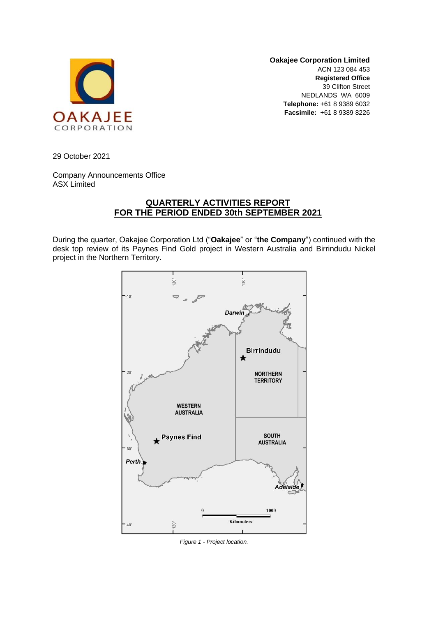

**Oakajee Corporation Limited** ACN 123 084 453 **Registered Office** 39 Clifton Street NEDLANDS WA 6009 **Telephone:** +61 8 9389 6032 **Facsimile:** +61 8 9389 8226

29 October 2021

Company Announcements Office ASX Limited

# **QUARTERLY ACTIVITIES REPORT FOR THE PERIOD ENDED 30th SEPTEMBER 2021**

During the quarter, Oakajee Corporation Ltd ("**Oakajee**" or "**the Company**") continued with the desk top review of its Paynes Find Gold project in Western Australia and Birrindudu Nickel project in the Northern Territory.



*Figure 1 - Project location.*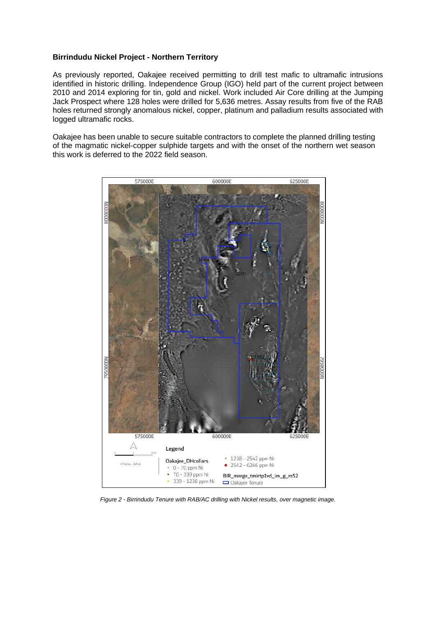## **Birrindudu Nickel Project - Northern Territory**

As previously reported, Oakajee received permitting to drill test mafic to ultramafic intrusions identified in historic drilling. Independence Group (IGO) held part of the current project between 2010 and 2014 exploring for tin, gold and nickel. Work included Air Core drilling at the Jumping Jack Prospect where 128 holes were drilled for 5,636 metres. Assay results from five of the RAB holes returned strongly anomalous nickel, copper, platinum and palladium results associated with logged ultramafic rocks.

Oakajee has been unable to secure suitable contractors to complete the planned drilling testing of the magmatic nickel-copper sulphide targets and with the onset of the northern wet season this work is deferred to the 2022 field season.



*Figure 2 - Birrindudu Tenure with RAB/AC drilling with Nickel results, over magnetic image.*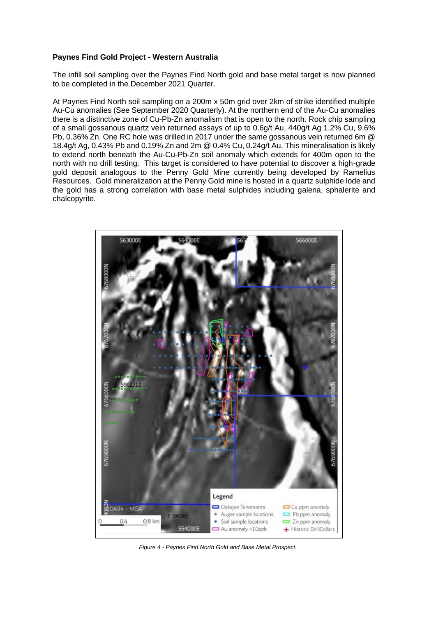## **Paynes Find Gold Project - Western Australia**

The infill soil sampling over the Paynes Find North gold and base metal target is now planned to be completed in the December 2021 Quarter.

At Paynes Find North soil sampling on a 200m x 50m grid over 2km of strike identified multiple Au-Cu anomalies (See September 2020 Quarterly). At the northern end of the Au-Cu anomalies there is a distinctive zone of Cu-Pb-Zn anomalism that is open to the north. Rock chip sampling of a small gossanous quartz vein returned assays of up to 0.6g/t Au, 440g/t Ag 1.2% Cu, 9.6% Pb, 0.36% Zn. One RC hole was drilled in 2017 under the same gossanous vein returned 6m @ 18.4g/t Ag, 0.43% Pb and 0.19% Zn and 2m @ 0.4% Cu, 0.24g/t Au. This mineralisation is likely to extend north beneath the Au-Cu-Pb-Zn soil anomaly which extends for 400m open to the north with no drill testing. This target is considered to have potential to discover a high-grade gold deposit analogous to the Penny Gold Mine currently being developed by Ramelius Resources. Gold mineralization at the Penny Gold mine is hosted in a quartz sulphide lode and the gold has a strong correlation with base metal sulphides including galena, sphalerite and chalcopyrite.



*Figure 4 - Paynes Find North Gold and Base Metal Prospect.*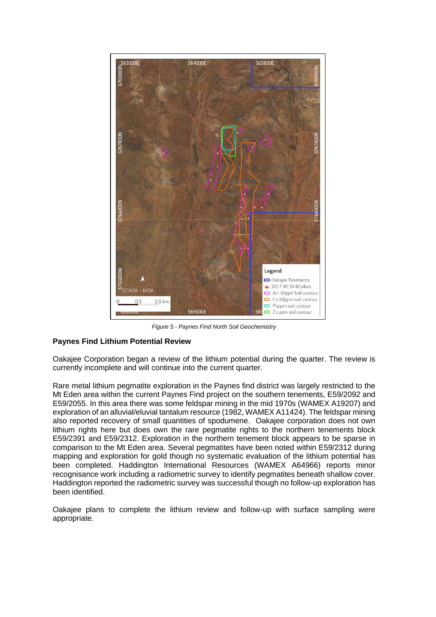

*Figure 5 - Paynes Find North Soil Geochemistry*

## **Paynes Find Lithium Potential Review**

Oakajee Corporation began a review of the lithium potential during the quarter. The review is currently incomplete and will continue into the current quarter.

Rare metal lithium pegmatite exploration in the Paynes find district was largely restricted to the Mt Eden area within the current Paynes Find project on the southern tenements, E59/2092 and E59/2055. In this area there was some feldspar mining in the mid 1970s (WAMEX A19207) and exploration of an alluvial/eluvial tantalum resource (1982, WAMEX A11424). The feldspar mining also reported recovery of small quantities of spodumene. Oakajee corporation does not own lithium rights here but does own the rare pegmatite rights to the northern tenements block E59/2391 and E59/2312. Exploration in the northern tenement block appears to be sparse in comparison to the Mt Eden area. Several pegmatites have been noted within E59/2312 during mapping and exploration for gold though no systematic evaluation of the lithium potential has been completed. Haddington International Resources (WAMEX A64966) reports minor recognisance work including a radiometric survey to identify pegmatites beneath shallow cover. Haddington reported the radiometric survey was successful though no follow-up exploration has been identified.

Oakajee plans to complete the lithium review and follow-up with surface sampling were appropriate.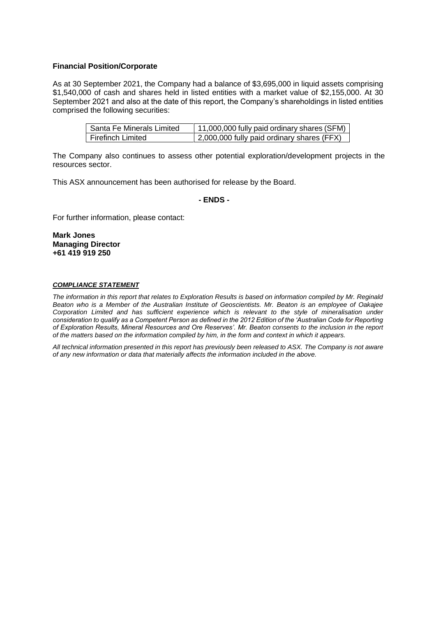### **Financial Position/Corporate**

As at 30 September 2021, the Company had a balance of \$3,695,000 in liquid assets comprising \$1,540,000 of cash and shares held in listed entities with a market value of \$2,155,000. At 30 September 2021 and also at the date of this report, the Company's shareholdings in listed entities comprised the following securities:

| Santa Fe Minerals Limited | 11,000,000 fully paid ordinary shares (SFM) |
|---------------------------|---------------------------------------------|
| l Firefinch Limited       | 2,000,000 fully paid ordinary shares (FFX)  |

The Company also continues to assess other potential exploration/development projects in the resources sector.

This ASX announcement has been authorised for release by the Board.

#### **- ENDS -**

For further information, please contact:

**Mark Jones Managing Director +61 419 919 250**

#### *COMPLIANCE STATEMENT*

*The information in this report that relates to Exploration Results is based on information compiled by Mr. Reginald Beaton who is a Member of the Australian Institute of Geoscientists. Mr. Beaton is an employee of Oakajee Corporation Limited and has sufficient experience which is relevant to the style of mineralisation under consideration to qualify as a Competent Person as defined in the 2012 Edition of the 'Australian Code for Reporting of Exploration Results, Mineral Resources and Ore Reserves'. Mr. Beaton consents to the inclusion in the report of the matters based on the information compiled by him, in the form and context in which it appears.* 

*All technical information presented in this report has previously been released to ASX. The Company is not aware of any new information or data that materially affects the information included in the above.*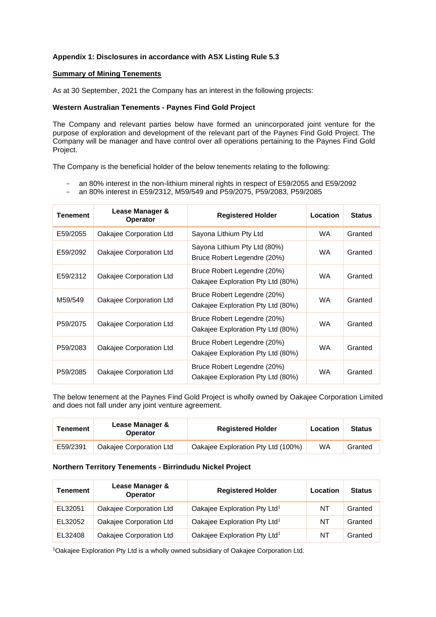## **Appendix 1: Disclosures in accordance with ASX Listing Rule 5.3**

#### **Summary of Mining Tenements**

As at 30 September, 2021 the Company has an interest in the following projects:

#### **Western Australian Tenements - Paynes Find Gold Project**

The Company and relevant parties below have formed an unincorporated joint venture for the purpose of exploration and development of the relevant part of the Paynes Find Gold Project. The Company will be manager and have control over all operations pertaining to the Paynes Find Gold Project.

The Company is the beneficial holder of the below tenements relating to the following:

- an 80% interest in the non-lithium mineral rights in respect of E59/2055 and E59/2092
- an 80% interest in E59/2312, M59/549 and P59/2075, P59/2083, P59/2085

| <b>Tenement</b> | Lease Manager &<br><b>Operator</b> | <b>Registered Holder</b>                                         | Location  | <b>Status</b> |
|-----------------|------------------------------------|------------------------------------------------------------------|-----------|---------------|
| E59/2055        | Oakajee Corporation Ltd            | Sayona Lithium Pty Ltd                                           | WA.       | Granted       |
| E59/2092        | Oakajee Corporation Ltd            | Sayona Lithium Pty Ltd (80%)<br>Bruce Robert Legendre (20%)      | WA.       | Granted       |
| E59/2312        | Oakajee Corporation Ltd            | Bruce Robert Legendre (20%)<br>Oakajee Exploration Pty Ltd (80%) | <b>WA</b> | Granted       |
| M59/549         | Oakajee Corporation Ltd            | Bruce Robert Legendre (20%)<br>Oakajee Exploration Pty Ltd (80%) | WA.       | Granted       |
| P59/2075        | Oakajee Corporation Ltd            | Bruce Robert Legendre (20%)<br>Oakajee Exploration Pty Ltd (80%) | WA.       | Granted       |
| P59/2083        | Oakajee Corporation Ltd            | Bruce Robert Legendre (20%)<br>Oakajee Exploration Pty Ltd (80%) | WA.       | Granted       |
| P59/2085        | Oakajee Corporation Ltd            | Bruce Robert Legendre (20%)<br>Oakajee Exploration Pty Ltd (80%) | <b>WA</b> | Granted       |

The below tenement at the Paynes Find Gold Project is wholly owned by Oakajee Corporation Limited and does not fall under any joint venture agreement.

| Tenement | Lease Manager &<br><b>Operator</b> | <b>Registered Holder</b>           | Location | <b>Status</b> |
|----------|------------------------------------|------------------------------------|----------|---------------|
| E59/2391 | Oakajee Corporation Ltd            | Oakajee Exploration Pty Ltd (100%) | WA       | Granted       |

#### **Northern Territory Tenements - Birrindudu Nickel Project**

| Tenement | Lease Manager &<br>Operator | <b>Registered Holder</b>                 | Location | <b>Status</b> |
|----------|-----------------------------|------------------------------------------|----------|---------------|
| EL32051  | Oakajee Corporation Ltd     | Oakajee Exploration Pty Ltd <sup>1</sup> | NT       | Granted       |
| EL32052  | Oakajee Corporation Ltd     | Oakajee Exploration Pty Ltd <sup>1</sup> | NT       | Granted       |
| EL32408  | Oakajee Corporation Ltd     | Oakajee Exploration Pty Ltd <sup>1</sup> | NT       | Granted       |

1Oakajee Exploration Pty Ltd is a wholly owned subsidiary of Oakajee Corporation Ltd.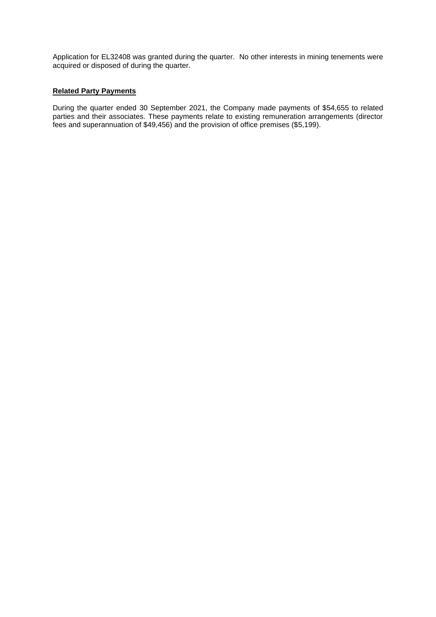Application for EL32408 was granted during the quarter. No other interests in mining tenements were acquired or disposed of during the quarter.

### **Related Party Payments**

During the quarter ended 30 September 2021, the Company made payments of \$54,655 to related parties and their associates. These payments relate to existing remuneration arrangements (director fees and superannuation of \$49,456) and the provision of office premises (\$5,199).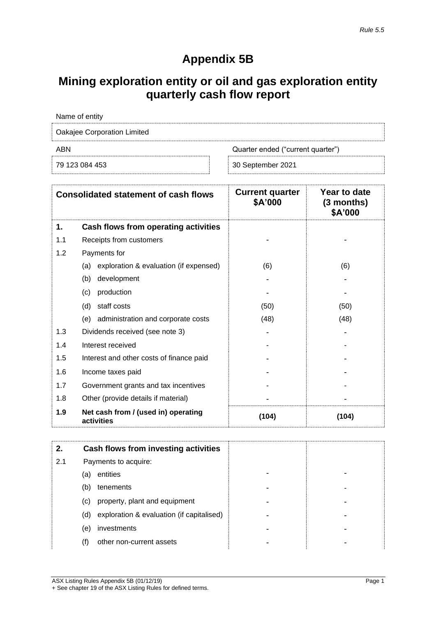# **Appendix 5B**

# **Mining exploration entity or oil and gas exploration entity quarterly cash flow report**

| Name of entity                           |                   |  |  |  |
|------------------------------------------|-------------------|--|--|--|
| Oakajee Corporation Limited              |                   |  |  |  |
| ABN<br>Quarter ended ("current quarter") |                   |  |  |  |
| 79 123 084 453                           | 30 September 2021 |  |  |  |

| <b>Consolidated statement of cash flows</b> |                                                   | <b>Current quarter</b><br>\$A'000 | Year to date<br>$(3$ months)<br>\$A'000 |
|---------------------------------------------|---------------------------------------------------|-----------------------------------|-----------------------------------------|
| 1.                                          | Cash flows from operating activities              |                                   |                                         |
| 1.1                                         | Receipts from customers                           |                                   |                                         |
| 1.2                                         | Payments for                                      |                                   |                                         |
|                                             | exploration & evaluation (if expensed)<br>(a)     | (6)                               | (6)                                     |
|                                             | (b)<br>development                                |                                   |                                         |
|                                             | production<br>(c)                                 |                                   |                                         |
|                                             | (d)<br>staff costs                                | (50)                              | (50)                                    |
|                                             | administration and corporate costs<br>(e)         | (48)                              | (48)                                    |
| 1.3                                         | Dividends received (see note 3)                   |                                   |                                         |
| 1.4                                         | Interest received                                 |                                   |                                         |
| 1.5                                         | Interest and other costs of finance paid          |                                   |                                         |
| 1.6                                         | Income taxes paid                                 |                                   |                                         |
| 1.7                                         | Government grants and tax incentives              |                                   |                                         |
| 1.8                                         | Other (provide details if material)               |                                   |                                         |
| 1.9                                         | Net cash from / (used in) operating<br>activities | (104)                             | (104)                                   |

| 2.  |     | Cash flows from investing activities      |  |
|-----|-----|-------------------------------------------|--|
| 2.1 |     | Payments to acquire:                      |  |
|     | (a) | entities                                  |  |
|     | (b) | tenements                                 |  |
|     | (C) | property, plant and equipment             |  |
|     | (d) | exploration & evaluation (if capitalised) |  |
|     | (e) | investments                               |  |
|     | (f) | other non-current assets                  |  |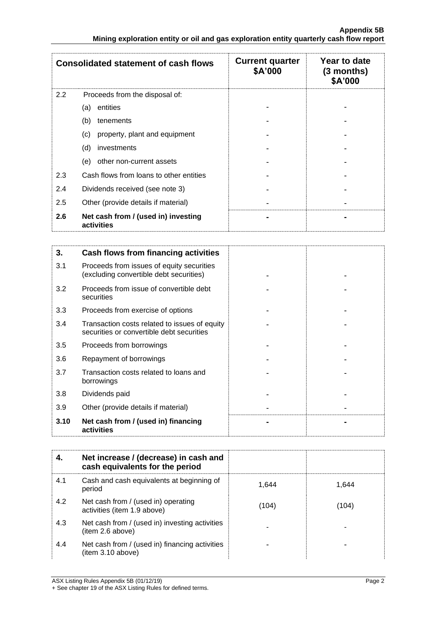| <b>Consolidated statement of cash flows</b> |                                                   | <b>Current quarter</b><br>\$A'000 | Year to date<br>$(3$ months)<br>\$A'000 |
|---------------------------------------------|---------------------------------------------------|-----------------------------------|-----------------------------------------|
| $2.2\phantom{0}$                            | Proceeds from the disposal of:                    |                                   |                                         |
|                                             | entities<br>(a)                                   |                                   |                                         |
|                                             | (b)<br>tenements                                  |                                   |                                         |
|                                             | property, plant and equipment<br>(c)              |                                   |                                         |
|                                             | (d)<br>investments                                |                                   |                                         |
|                                             | (e)<br>other non-current assets                   |                                   |                                         |
| 2.3                                         | Cash flows from loans to other entities           |                                   |                                         |
| 2.4                                         | Dividends received (see note 3)                   |                                   |                                         |
| 2.5                                         | Other (provide details if material)               |                                   |                                         |
| 2.6                                         | Net cash from / (used in) investing<br>activities |                                   |                                         |

| 3.   | Cash flows from financing activities                                                       |  |
|------|--------------------------------------------------------------------------------------------|--|
| 3.1  | Proceeds from issues of equity securities<br>(excluding convertible debt securities)       |  |
| 3.2  | Proceeds from issue of convertible debt<br>securities                                      |  |
| 3.3  | Proceeds from exercise of options                                                          |  |
| 3.4  | Transaction costs related to issues of equity<br>securities or convertible debt securities |  |
| 3.5  | Proceeds from borrowings                                                                   |  |
| 3.6  | Repayment of borrowings                                                                    |  |
| 3.7  | Transaction costs related to loans and<br>borrowings                                       |  |
| 3.8  | Dividends paid                                                                             |  |
| 3.9  | Other (provide details if material)                                                        |  |
| 3.10 | Net cash from / (used in) financing<br>activities                                          |  |

|     | Net increase / (decrease) in cash and<br>cash equivalents for the period |       |       |
|-----|--------------------------------------------------------------------------|-------|-------|
| 4.1 | Cash and cash equivalents at beginning of<br>period                      | 1.644 | 1.644 |
| 4.2 | Net cash from / (used in) operating<br>activities (item 1.9 above)       | (104) | (104) |
| 4.3 | Net cash from / (used in) investing activities<br>(item 2.6 above)       |       |       |
| 4.4 | Net cash from / (used in) financing activities<br>(item 3.10 above)      |       |       |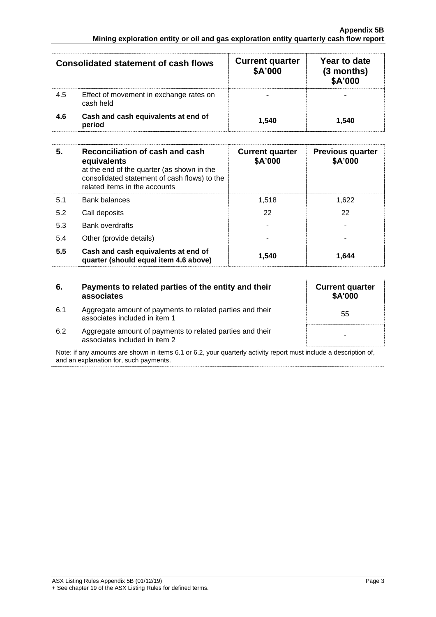| <b>Consolidated statement of cash flows</b> |                                                      | <b>Current quarter</b><br>\$A'000 | Year to date<br>$(3$ months)<br>\$A'000 |
|---------------------------------------------|------------------------------------------------------|-----------------------------------|-----------------------------------------|
| 4.5                                         | Effect of movement in exchange rates on<br>cash held |                                   |                                         |
| 4.6                                         | Cash and cash equivalents at end of<br>period        | 1.540                             | 1.540                                   |

| 5.  | Reconciliation of cash and cash<br>equivalents<br>at the end of the quarter (as shown in the<br>consolidated statement of cash flows) to the<br>related items in the accounts | <b>Current quarter</b><br>\$A'000 | <b>Previous quarter</b><br>\$A'000 |
|-----|-------------------------------------------------------------------------------------------------------------------------------------------------------------------------------|-----------------------------------|------------------------------------|
| 5.1 | <b>Bank balances</b>                                                                                                                                                          | 1.518                             | 1.622                              |
| 5.2 | Call deposits                                                                                                                                                                 | 22                                | 22                                 |
| 5.3 | Bank overdrafts                                                                                                                                                               |                                   |                                    |
| 5.4 | Other (provide details)                                                                                                                                                       | $\overline{\phantom{0}}$          |                                    |
| 5.5 | Cash and cash equivalents at end of<br>quarter (should equal item 4.6 above)                                                                                                  | 1.540                             | 1.644                              |

## **6. Payments to related parties of the entity and their associates**

6.1 Aggregate amount of payments to related parties and their associates included in item 1

| <b>Current quarter</b><br>\$A'000 |
|-----------------------------------|
| 55                                |
|                                   |

6.2 Aggregate amount of payments to related parties and their associates included in item 2

Note: if any amounts are shown in items 6.1 or 6.2, your quarterly activity report must include a description of, and an explanation for, such payments.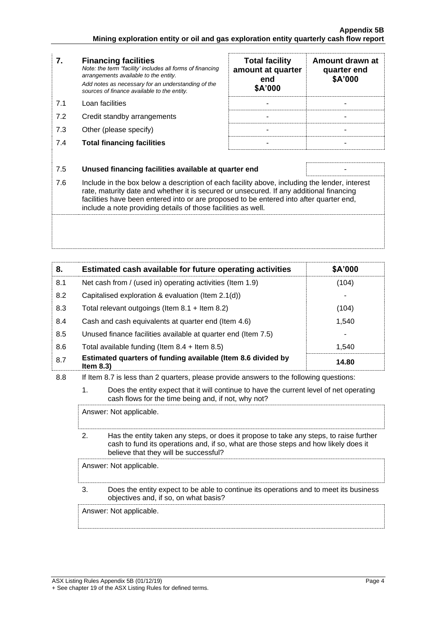| 7.  | <b>Financing facilities</b><br>Note: the term "facility' includes all forms of financing<br>arrangements available to the entity.<br>Add notes as necessary for an understanding of the<br>sources of finance available to the entity.                                                                                                               | <b>Total facility</b><br>amount at quarter<br>end<br>\$A'000 | Amount drawn at<br>quarter end<br>\$A'000 |
|-----|------------------------------------------------------------------------------------------------------------------------------------------------------------------------------------------------------------------------------------------------------------------------------------------------------------------------------------------------------|--------------------------------------------------------------|-------------------------------------------|
| 7.1 | Loan facilities                                                                                                                                                                                                                                                                                                                                      |                                                              |                                           |
| 7.2 | Credit standby arrangements                                                                                                                                                                                                                                                                                                                          |                                                              |                                           |
| 7.3 | Other (please specify)                                                                                                                                                                                                                                                                                                                               |                                                              |                                           |
| 7.4 | <b>Total financing facilities</b>                                                                                                                                                                                                                                                                                                                    |                                                              |                                           |
|     |                                                                                                                                                                                                                                                                                                                                                      |                                                              |                                           |
| 7.5 | Unused financing facilities available at quarter end                                                                                                                                                                                                                                                                                                 |                                                              |                                           |
| 7.6 | Include in the box below a description of each facility above, including the lender, interest<br>rate, maturity date and whether it is secured or unsecured. If any additional financing<br>facilities have been entered into or are proposed to be entered into after quarter end,<br>include a note providing details of those facilities as well. |                                                              |                                           |
|     |                                                                                                                                                                                                                                                                                                                                                      |                                                              |                                           |

| 8.  | Estimated cash available for future operating activities                     | \$A'000 |
|-----|------------------------------------------------------------------------------|---------|
| 8.1 | Net cash from / (used in) operating activities (Item 1.9)                    | (104)   |
| 8.2 | Capitalised exploration & evaluation (Item 2.1(d))                           |         |
| 8.3 | Total relevant outgoings (Item $8.1 +$ Item $8.2$ )                          | (104)   |
| 8.4 | Cash and cash equivalents at quarter end (Item 4.6)                          | 1,540   |
| 8.5 | Unused finance facilities available at quarter end (Item 7.5)                |         |
| 8.6 | Total available funding (Item $8.4$ + Item $8.5$ )                           | 1.540   |
| 8.7 | Estimated quarters of funding available (Item 8.6 divided by<br>Item $8.3$ ) | 14.80   |

8.8 If Item 8.7 is less than 2 quarters, please provide answers to the following questions:

1. Does the entity expect that it will continue to have the current level of net operating cash flows for the time being and, if not, why not?

Answer: Not applicable.

2. Has the entity taken any steps, or does it propose to take any steps, to raise further cash to fund its operations and, if so, what are those steps and how likely does it believe that they will be successful?

Answer: Not applicable.

3. Does the entity expect to be able to continue its operations and to meet its business objectives and, if so, on what basis?

Answer: Not applicable.